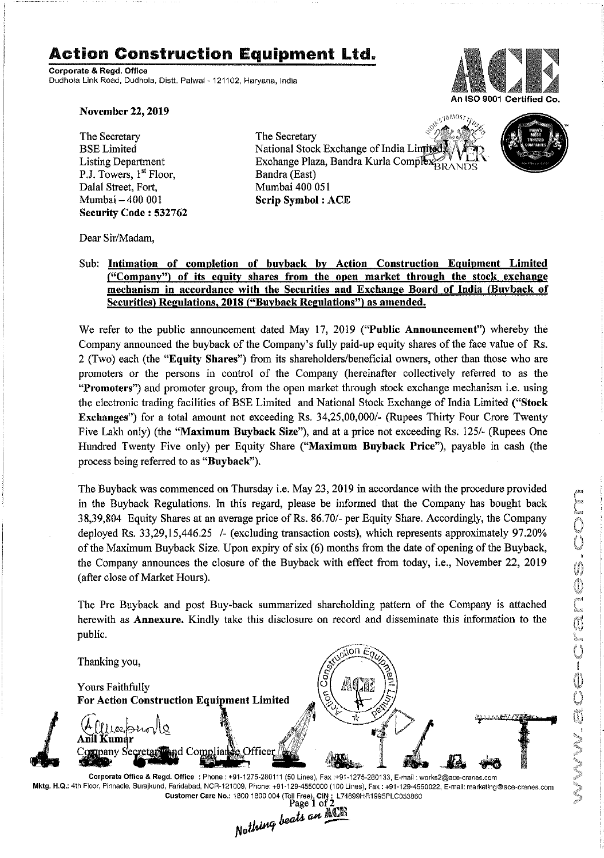# Action Construction **Equipment** Ltd.

Corporate & Regd.Office Oudhola Link Road, Oudhola, Distt. Palwal- 121102, Haryana, India



November 22, 2019

The Secretary BSE Limited Listing Department P.J. Towers, 1<sup>st</sup> Floor, Dalal Street, Fort, Mumbai - 400 001 Security Code: 532762

**STOMOST** The Secretary National Stock Exchange of India Li Exchange Plaza, Bandra Kurla Complex RANDS Bandra (East) Mumbai 400 051 Scrip Symbol: ACE



Dear Sir/Madam,

### Sub: Intimation of completion of buyback by Action Construction Equipment Limited ("Company") of its equity shares from the open market through the stock exchange mechanism in accordance with the Securities and Exchange Board of India (Buyback of Securities) Regulations, 2018 ("Buyback Regulations") as amended.

We refer to the public announcement dated May 17, 2019 ("Public Announcement") whereby the Company announced the buyback of the Company's fully paid-up equity shares of the face value of Rs. 2 (Two) each (the "Equity Shares") from its shareholders/beneficial owners, other than those who are promoters or the persons in control of the Company (hereinafter collectively referred to as the "Promoters") and promoter group, from the open market through stock exchange mechanism i.e. using the electronic trading facilities of BSE Limited and National Stock Exchange of India Limited ("Stock Exchanges") for a total amount not exceeding Rs. *34,25,00,000/-* (Rupees Thirty Four Crore Twenty Five Lakh only) (the "Maximum Buyback Size"), and at a price not exceeding Rs. *1251-*(Rupees One Hundred Twenty Five only) per Equity Share ("Maximum Buyback Price"), payable in cash (the process being referred to as "Buyback").

The Buyback was commenced on Thursday i.e. May 23,2019 in accordance with the procedure provided in the Buyback Regulations. In this regard, please be informed that the Company has bought back 38,39,804 Equity Shares at an average price ofRs. 86.70/- per Equity Share. Accordingly, the Company deployed Rs. 33,29,15,446.25 /- (excluding transaction costs), which represents approximately 97.20% of the Maximum Buyback Size. Upon expiry of six (6) months from the date of opening of the Buyback, the Company announces the closure of the Buyback with effect from today, i.e., November 22, 2019 (after close of Market Hours).

The Pre Buyback and post Buy-back summarized shareholding pattern of the Company is attached herewith as Annexure. Kindly take this disclosure on record and disseminate this information to the public.



Mktg. H.Q.: 4th Floor,Pinnacle, Surajkund, Faridabad. NCR-121009, Phone: +91-129-4550000 (100 Lines), Fax: +91-129-4550022, E·mail:marketing@ace-cranes.com Customer Care No.: 1800 1800 004 (Toll Free), CIN: L74899HR1995PLC053860<br>Page 1 of  $2_{\text{max}}$ Page 1 of 2<br>*Nothing beats an* ACIE